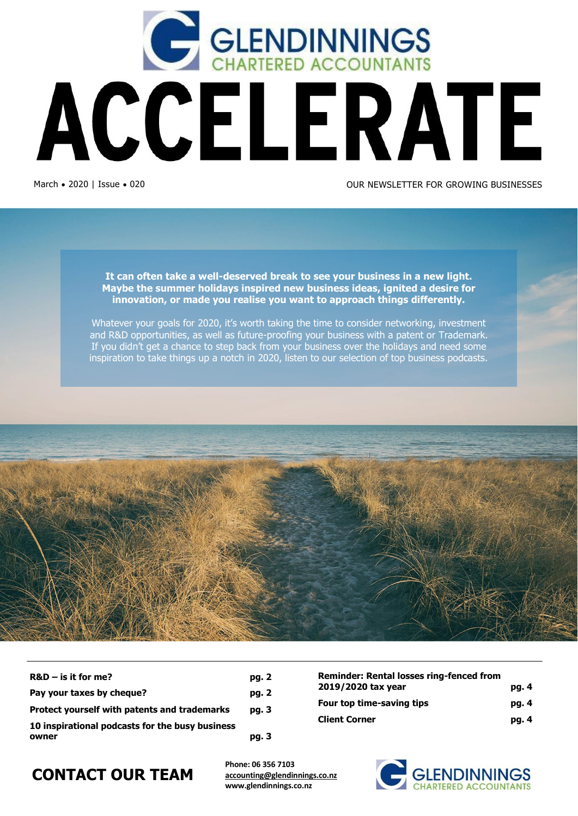

**It can often take a well-deserved break to see your business in a new light. Maybe the summer holidays inspired new business ideas, ignited a desire for innovation, or made you realise you want to approach things differently.**

Whatever your goals for 2020, it's worth taking the time to consider networking, investment and R&D opportunities, as well as future-proofing your business with a patent or Trademark. If you didn't get a chance to step back from your business over the holidays and need some inspiration to take things up a notch in 2020, listen to our selection of top business podcasts.



| $R&D$ – is it for me?                                    | pg. 2 |
|----------------------------------------------------------|-------|
| Pay your taxes by cheque?                                | pg. 2 |
| <b>Protect yourself with patents and trademarks</b>      | pg. 3 |
| 10 inspirational podcasts for the busy business<br>owner | pg. 3 |

| <b>Reminder: Rental losses ring-fenced from</b> |       |
|-------------------------------------------------|-------|
| 2019/2020 tax year                              | pg. 4 |
| Four top time-saving tips                       | pg. 4 |
| <b>Client Corner</b>                            | pg. 4 |

### **CONTACT OUR TEAM**

**Phone: 06 356 7103 [accounting@glendinnings.co.nz](mailto:accounting@glendinnings.co.nz) www.glendinnings.co.nz**

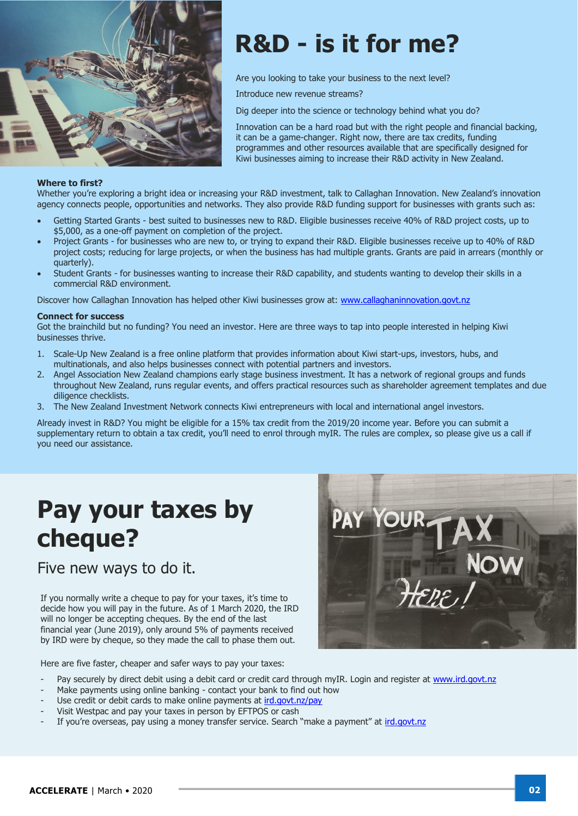

# **R&D - is it for me?**

Are you looking to take your business to the next level?

Introduce new revenue streams?

Dig deeper into the science or technology behind what you do?

Innovation can be a hard road but with the right people and financial backing, it can be a game-changer. Right now, there are tax credits, funding programmes and other resources available that are specifically designed for Kiwi businesses aiming to increase their R&D activity in New Zealand.

#### **Where to first?**

Whether you're exploring a bright idea or increasing your R&D investment, talk to Callaghan Innovation. New Zealand's innovation agency connects people, opportunities and networks. They also provide R&D funding support for businesses with grants such as:

- Getting Started Grants best suited to businesses new to R&D. Eligible businesses receive 40% of R&D project costs, up to \$5,000, as a one-off payment on completion of the project.
- Project Grants for businesses who are new to, or trying to expand their R&D. Eligible businesses receive up to 40% of R&D project costs; reducing for large projects, or when the business has had multiple grants. Grants are paid in arrears (monthly or quarterly).
- Student Grants for businesses wanting to increase their R&D capability, and students wanting to develop their skills in a commercial R&D environment.

Discover how Callaghan Innovation has helped other Kiwi businesses grow at: [www.callaghaninnovation.govt.nz](http://www.callaghaninnovation.govt.nz/)

#### **Connect for success**

Got the brainchild but no funding? You need an investor. Here are three ways to tap into people interested in helping Kiwi businesses thrive.

- 1. Scale-Up New Zealand is a free online platform that provides information about Kiwi start-ups, investors, hubs, and multinationals, and also helps businesses connect with potential partners and investors.
- 2. Angel Association New Zealand champions early stage business investment. It has a network of regional groups and funds throughout New Zealand, runs regular events, and offers practical resources such as shareholder agreement templates and due diligence checklists.
- 3. The New Zealand Investment Network connects Kiwi entrepreneurs with local and international angel investors.

Already invest in R&D? You might be eligible for a 15% tax credit from the 2019/20 income year. Before you can submit a supplementary return to obtain a tax credit, you'll need to enrol through myIR. The rules are complex, so please give us a call if you need our assistance.

### **Pay your taxes by cheque?**

Five new ways to do it.

If you normally write a cheque to pay for your taxes, it's time to decide how you will pay in the future. As of 1 March 2020, the IRD will no longer be accepting cheques. By the end of the last financial year (June 2019), only around 5% of payments received by IRD were by cheque, so they made the call to phase them out.

Here are five faster, cheaper and safer ways to pay your taxes:

- Pay securely by direct debit using a debit card or credit card through myIR. Login and register at [www.ird.govt.nz](http://www.ird.govt.nz/)
- Make payments using online banking contact your bank to find out how
- Use credit or debit cards to make online payments at [ird.govt.nz/pay](http://www.ird.govt.nz/pay)
- Visit Westpac and pay your taxes in person by EFTPOS or cash
- If you're overseas, pay using a money transfer service. Search "make a payment" at [ird.govt.nz](http://www.ird.govt.nz/)

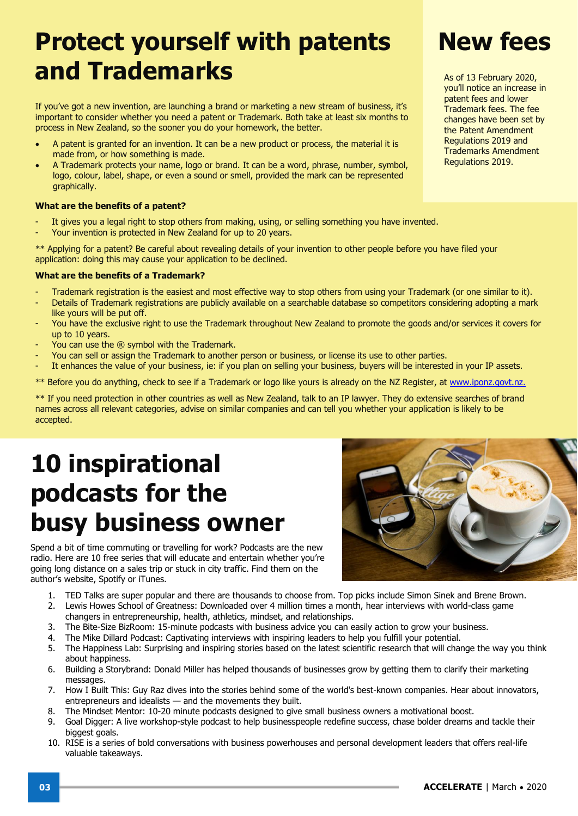## **Protect yourself with patents and Trademarks**

If you've got a new invention, are launching a brand or marketing a new stream of business, it's important to consider whether you need a patent or Trademark. Both take at least six months to process in New Zealand, so the sooner you do your homework, the better.

- A patent is granted for an invention. It can be a new product or process, the material it is made from, or how something is made.
- A Trademark protects your name, logo or brand. It can be a word, phrase, number, symbol, logo, colour, label, shape, or even a sound or smell, provided the mark can be represented graphically.

#### **What are the benefits of a patent?**

- It gives you a legal right to stop others from making, using, or selling something you have invented.
- Your invention is protected in New Zealand for up to 20 years.

\*\* Applying for a patent? Be careful about revealing details of your invention to other people before you have filed your application: doing this may cause your application to be declined.

#### **What are the benefits of a Trademark?**

- Trademark registration is the easiest and most effective way to stop others from using your Trademark (or one similar to it).
- Details of Trademark registrations are publicly available on a searchable database so competitors considering adopting a mark like yours will be put off.
- You have the exclusive right to use the Trademark throughout New Zealand to promote the goods and/or services it covers for up to 10 years.
- You can use the ® symbol with the Trademark.
- You can sell or assign the Trademark to another person or business, or license its use to other parties.
- It enhances the value of your business, ie: if you plan on selling your business, buyers will be interested in your IP assets.
- \*\* Before you do anything, check to see if a Trademark or logo like yours is already on the NZ Register, at [www.iponz.govt.nz.](http://www.iponz.govt.nz./)

\*\* If you need protection in other countries as well as New Zealand, talk to an IP lawyer. They do extensive searches of brand names across all relevant categories, advise on similar companies and can tell you whether your application is likely to be accepted.

## **10 inspirational podcasts for the busy business owner**

Spend a bit of time commuting or travelling for work? Podcasts are the new radio. Here are 10 free series that will educate and entertain whether you're going long distance on a sales trip or stuck in city traffic. Find them on the author's website, Spotify or iTunes.

- 1. TED Talks are super popular and there are thousands to choose from. Top picks include Simon Sinek and Brene Brown.
- 2. Lewis Howes School of Greatness: Downloaded over 4 million times a month, hear interviews with world-class game changers in entrepreneurship, health, athletics, mindset, and relationships.
- 3. The Bite-Size BizRoom: 15-minute podcasts with business advice you can easily action to grow your business.
- 4. The Mike Dillard Podcast: Captivating interviews with inspiring leaders to help you fulfill your potential.
- 5. The Happiness Lab: Surprising and inspiring stories based on the latest scientific research that will change the way you think about happiness.
- 6. Building a Storybrand: Donald Miller has helped thousands of businesses grow by getting them to clarify their marketing messages.
- 7. How I Built This: Guy Raz dives into the stories behind some of the world's best-known companies. Hear about innovators, entrepreneurs and idealists — and the movements they built.
- 8. The Mindset Mentor: 10-20 minute podcasts designed to give small business owners a motivational boost.
- 9. Goal Digger: A live workshop-style podcast to help businesspeople redefine success, chase bolder dreams and tackle their biggest goals.
- 10. RISE is a series of bold conversations with business powerhouses and personal development leaders that offers real-life valuable takeaways.

#### patent fees and lower Trademark fees. The fee changes have been set by the Patent Amendment Regulations 2019 and Trademarks Amendment Regulations 2019.

As of 13 February 2020, you'll notice an increase in



## **New fees**